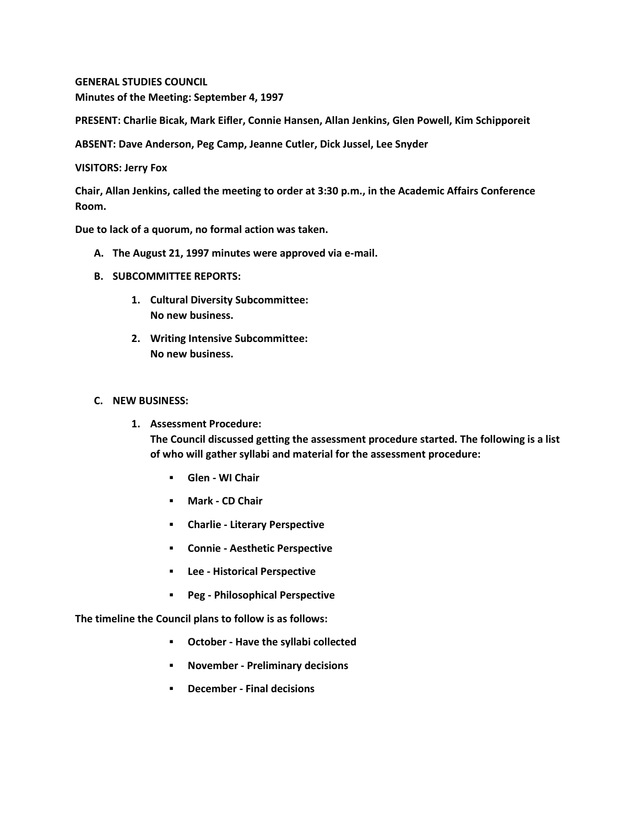**GENERAL STUDIES COUNCIL Minutes of the Meeting: September 4, 1997**

**PRESENT: Charlie Bicak, Mark Eifler, Connie Hansen, Allan Jenkins, Glen Powell, Kim Schipporeit**

**ABSENT: Dave Anderson, Peg Camp, Jeanne Cutler, Dick Jussel, Lee Snyder**

**VISITORS: Jerry Fox**

**Chair, Allan Jenkins, called the meeting to order at 3:30 p.m., in the Academic Affairs Conference Room.**

**Due to lack of a quorum, no formal action was taken.**

- **A. The August 21, 1997 minutes were approved via e-mail.**
- **B. SUBCOMMITTEE REPORTS:**
	- **1. Cultural Diversity Subcommittee: No new business.**
	- **2. Writing Intensive Subcommittee: No new business.**

## **C. NEW BUSINESS:**

- **1. Assessment Procedure: The Council discussed getting the assessment procedure started. The following is a list of who will gather syllabi and material for the assessment procedure:** 
	- **Glen - WI Chair**
	- **Mark - CD Chair**
	- **Charlie - Literary Perspective**
	- **Connie - Aesthetic Perspective**
	- **Lee - Historical Perspective**
	- **Peg - Philosophical Perspective**

**The timeline the Council plans to follow is as follows:** 

- **October - Have the syllabi collected**
- **November - Preliminary decisions**
- **December - Final decisions**